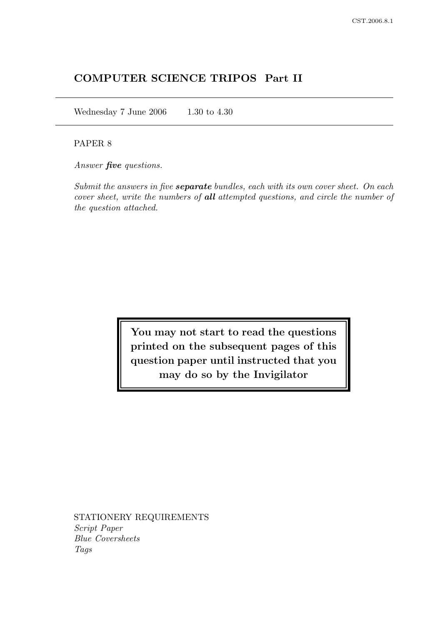# COMPUTER SCIENCE TRIPOS Part II

Wednesday 7 June 2006 1.30 to 4.30

# PAPER 8

Answer **five** questions.

Submit the answers in five **separate** bundles, each with its own cover sheet. On each cover sheet, write the numbers of all attempted questions, and circle the number of the question attached.

> You may not start to read the questions printed on the subsequent pages of this question paper until instructed that you may do so by the Invigilator

STATIONERY REQUIREMENTS Script Paper Blue Coversheets Tags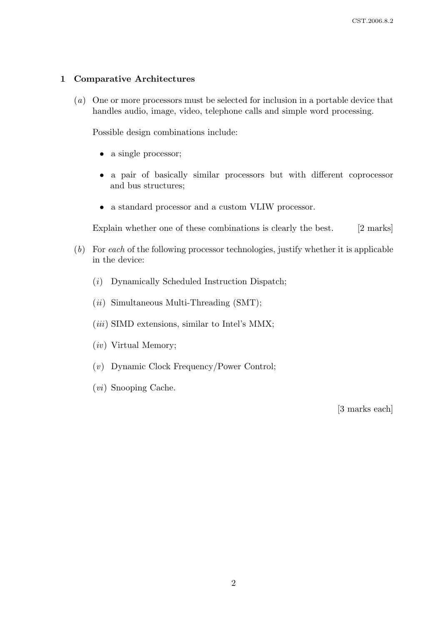# 1 Comparative Architectures

(a) One or more processors must be selected for inclusion in a portable device that handles audio, image, video, telephone calls and simple word processing.

Possible design combinations include:

- a single processor;
- a pair of basically similar processors but with different coprocessor and bus structures;
- a standard processor and a custom VLIW processor.

Explain whether one of these combinations is clearly the best. [2 marks]

- (b) For each of the following processor technologies, justify whether it is applicable in the device:
	- (i) Dynamically Scheduled Instruction Dispatch;
	- $(ii)$  Simultaneous Multi-Threading (SMT);
	- $(iii)$  SIMD extensions, similar to Intel's MMX;
	- (iv) Virtual Memory;
	- (v) Dynamic Clock Frequency/Power Control;
	- (vi) Snooping Cache.

[3 marks each]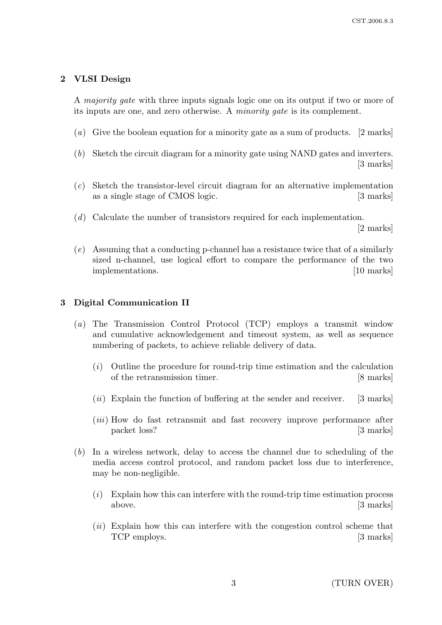# 2 VLSI Design

A majority gate with three inputs signals logic one on its output if two or more of its inputs are one, and zero otherwise. A minority gate is its complement.

- (a) Give the boolean equation for a minority gate as a sum of products.  $[2 \text{ marks}]$
- (b) Sketch the circuit diagram for a minority gate using NAND gates and inverters. [3 marks]
- (c) Sketch the transistor-level circuit diagram for an alternative implementation as a single stage of CMOS logic. [3 marks]
- (d) Calculate the number of transistors required for each implementation.

[2 marks]

(e) Assuming that a conducting p-channel has a resistance twice that of a similarly sized n-channel, use logical effort to compare the performance of the two implementations. [10 marks]

### 3 Digital Communication II

- (a) The Transmission Control Protocol (TCP) employs a transmit window and cumulative acknowledgement and timeout system, as well as sequence numbering of packets, to achieve reliable delivery of data.
	- (i) Outline the procedure for round-trip time estimation and the calculation of the retransmission timer. [8 marks]
	- $(ii)$  Explain the function of buffering at the sender and receiver. [3 marks]
	- (iii) How do fast retransmit and fast recovery improve performance after packet loss? [3 marks]
- (b) In a wireless network, delay to access the channel due to scheduling of the media access control protocol, and random packet loss due to interference, may be non-negligible.
	- $(i)$  Explain how this can interfere with the round-trip time estimation process above. [3 marks]
	- $(ii)$  Explain how this can interfere with the congestion control scheme that TCP employs. [3 marks]

3 (TURN OVER)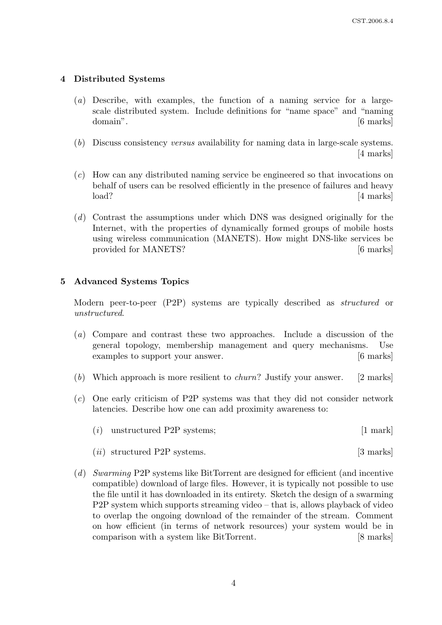### 4 Distributed Systems

- (a) Describe, with examples, the function of a naming service for a largescale distributed system. Include definitions for "name space" and "naming domain". [6 marks]
- (b) Discuss consistency versus availability for naming data in large-scale systems. [4 marks]
- (c) How can any distributed naming service be engineered so that invocations on behalf of users can be resolved efficiently in the presence of failures and heavy load? [4 marks]
- (d) Contrast the assumptions under which DNS was designed originally for the Internet, with the properties of dynamically formed groups of mobile hosts using wireless communication (MANETS). How might DNS-like services be provided for MANETS? [6 marks]

# 5 Advanced Systems Topics

Modern peer-to-peer (P2P) systems are typically described as structured or unstructured.

- (a) Compare and contrast these two approaches. Include a discussion of the general topology, membership management and query mechanisms. Use examples to support your answer. [6 marks]
- (b) Which approach is more resilient to *churn*? Justify your answer. [2 marks]
- (c) One early criticism of P2P systems was that they did not consider network latencies. Describe how one can add proximity awareness to:

| $[1$ mark<br>$(i)$ unstructured P2P systems; |  |  |
|----------------------------------------------|--|--|
|----------------------------------------------|--|--|

- (*ii*) structured P2P systems. [3 marks]
- (d) Swarming P2P systems like BitTorrent are designed for efficient (and incentive compatible) download of large files. However, it is typically not possible to use the file until it has downloaded in its entirety. Sketch the design of a swarming P2P system which supports streaming video – that is, allows playback of video to overlap the ongoing download of the remainder of the stream. Comment on how efficient (in terms of network resources) your system would be in comparison with a system like BitTorrent. [8 marks]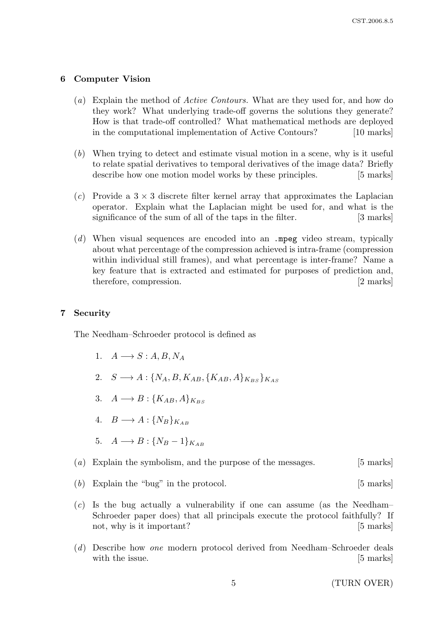### 6 Computer Vision

- (a) Explain the method of Active Contours. What are they used for, and how do they work? What underlying trade-off governs the solutions they generate? How is that trade-off controlled? What mathematical methods are deployed in the computational implementation of Active Contours? [10 marks]
- (b) When trying to detect and estimate visual motion in a scene, why is it useful to relate spatial derivatives to temporal derivatives of the image data? Briefly describe how one motion model works by these principles. [5 marks]
- (c) Provide a  $3 \times 3$  discrete filter kernel array that approximates the Laplacian operator. Explain what the Laplacian might be used for, and what is the significance of the sum of all of the taps in the filter. [3 marks]
- (d) When visual sequences are encoded into an .mpeg video stream, typically about what percentage of the compression achieved is intra-frame (compression within individual still frames), and what percentage is inter-frame? Name a key feature that is extracted and estimated for purposes of prediction and, therefore, compression. [2 marks]

### 7 Security

The Needham–Schroeder protocol is defined as

- 1.  $A \longrightarrow S : A, B, N_A$
- 2.  $S \longrightarrow A: \{N_A, B, K_{AB}, \{K_{AB}, A\}_{K_{BS}}\}_{K_{AS}}$
- 3.  $A \longrightarrow B : \{K_{AB}, A\}_{K_{BS}}$
- 4.  $B \longrightarrow A : \{N_B\}_{K_{AB}}$
- 5.  $A \longrightarrow B : \{N_B 1\}_{K_{AB}}$
- (a) Explain the symbolism, and the purpose of the messages. [5 marks]
- (b) Explain the "bug" in the protocol.  $[5 \text{ marks}]$
- $(c)$  Is the bug actually a vulnerability if one can assume (as the Needham– Schroeder paper does) that all principals execute the protocol faithfully? If not, why is it important? [5 marks]
- (d) Describe how one modern protocol derived from Needham–Schroeder deals with the issue. [5 marks]

5 (TURN OVER)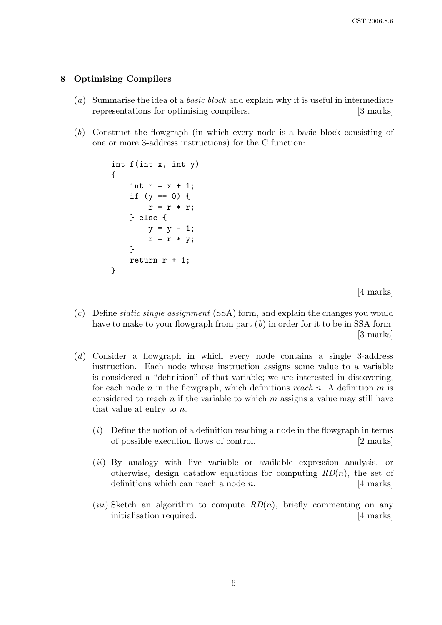### 8 Optimising Compilers

- (a) Summarise the idea of a *basic block* and explain why it is useful in intermediate representations for optimising compilers. [3 marks]
- (b) Construct the flowgraph (in which every node is a basic block consisting of one or more 3-address instructions) for the C function:

```
int f(int x, int y)
{
    int r = x + 1;
    if (y == 0) {
        r = r * r;} else {
        y = y - 1;r = r * y;}
    return r + 1;
}
```
[4 marks]

- (c) Define static single assignment (SSA) form, and explain the changes you would have to make to your flowgraph from part  $(b)$  in order for it to be in SSA form. [3 marks]
- (d) Consider a flowgraph in which every node contains a single 3-address instruction. Each node whose instruction assigns some value to a variable is considered a "definition" of that variable; we are interested in discovering, for each node n in the flowgraph, which definitions reach n. A definition m is considered to reach n if the variable to which m assigns a value may still have that value at entry to n.
	- $(i)$  Define the notion of a definition reaching a node in the flowgraph in terms of possible execution flows of control. [2 marks]
	- (ii) By analogy with live variable or available expression analysis, or otherwise, design dataflow equations for computing  $RD(n)$ , the set of definitions which can reach a node *n*.  $[4 \text{ marks}]$
	- (*iii*) Sketch an algorithm to compute  $RD(n)$ , briefly commenting on any initialisation required. [4 marks]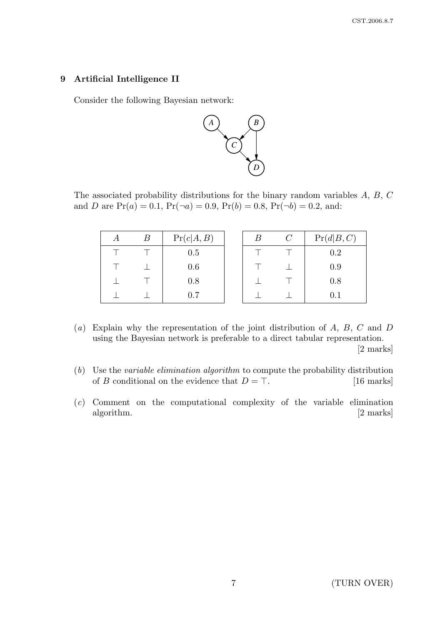# 9 Artificial Intelligence II

Consider the following Bayesian network:



The associated probability distributions for the binary random variables A, B, C and D are  $Pr(a) = 0.1$ ,  $Pr(\neg a) = 0.9$ ,  $Pr(b) = 0.8$ ,  $Pr(\neg b) = 0.2$ , and:

| B | Pr(c A, B) |  | Pr(d B,C) |
|---|------------|--|-----------|
|   | 0.5        |  | 0.2       |
|   | 0.6        |  | 0.9       |
|   | 0.8        |  | 0.8       |
|   | 0.7        |  | O. 1      |

- (a) Explain why the representation of the joint distribution of  $A, B, C$  and  $D$ using the Bayesian network is preferable to a direct tabular representation. [2 marks]
- (b) Use the variable elimination algorithm to compute the probability distribution of B conditional on the evidence that  $D = T$ . [16 marks]
- (c) Comment on the computational complexity of the variable elimination algorithm. [2 marks]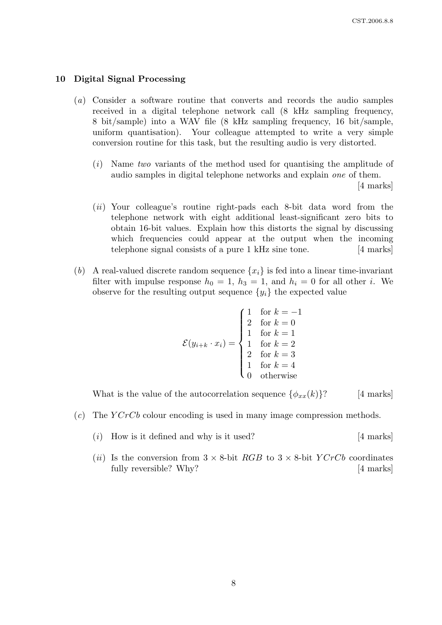#### 10 Digital Signal Processing

- (a) Consider a software routine that converts and records the audio samples received in a digital telephone network call (8 kHz sampling frequency, 8 bit/sample) into a WAV file (8 kHz sampling frequency, 16 bit/sample, uniform quantisation). Your colleague attempted to write a very simple conversion routine for this task, but the resulting audio is very distorted.
	- (i) Name two variants of the method used for quantising the amplitude of audio samples in digital telephone networks and explain one of them.

[4 marks]

- (*ii*) Your colleague's routine right-pads each 8-bit data word from the telephone network with eight additional least-significant zero bits to obtain 16-bit values. Explain how this distorts the signal by discussing which frequencies could appear at the output when the incoming telephone signal consists of a pure 1 kHz sine tone. [4 marks]
- (b) A real-valued discrete random sequence  $\{x_i\}$  is fed into a linear time-invariant filter with impulse response  $h_0 = 1$ ,  $h_3 = 1$ , and  $h_i = 0$  for all other *i*. We observe for the resulting output sequence  $\{y_i\}$  the expected value

$$
\mathcal{E}(y_{i+k} \cdot x_i) = \begin{cases} 1 & \text{for } k = -1 \\ 2 & \text{for } k = 0 \\ 1 & \text{for } k = 1 \\ 1 & \text{for } k = 2 \\ 2 & \text{for } k = 3 \\ 1 & \text{for } k = 4 \\ 0 & \text{otherwise} \end{cases}
$$

What is the value of the autocorrelation sequence  $\{\phi_{xx}(k)\}$ ? [4 marks]

- (c) The  $YCrCb$  colour encoding is used in many image compression methods.
	- (*i*) How is it defined and why is it used?  $[4 \text{ marks}]$
	- (*ii*) Is the conversion from  $3 \times 8$ -bit RGB to  $3 \times 8$ -bit YCrCb coordinates fully reversible? Why? [4 marks]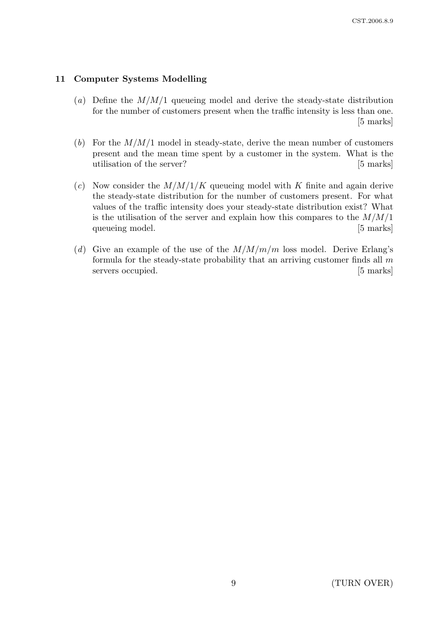# 11 Computer Systems Modelling

- (a) Define the  $M/M/1$  queueing model and derive the steady-state distribution for the number of customers present when the traffic intensity is less than one. [5 marks]
- (b) For the  $M/M/1$  model in steady-state, derive the mean number of customers present and the mean time spent by a customer in the system. What is the utilisation of the server? [5 marks]
- (c) Now consider the  $M/M/1/K$  queueing model with K finite and again derive the steady-state distribution for the number of customers present. For what values of the traffic intensity does your steady-state distribution exist? What is the utilisation of the server and explain how this compares to the  $M/M/1$ queueing model. [5 marks]
- (d) Give an example of the use of the  $M/M/m/m$  loss model. Derive Erlang's formula for the steady-state probability that an arriving customer finds all  $m$ servers occupied. [5 marks]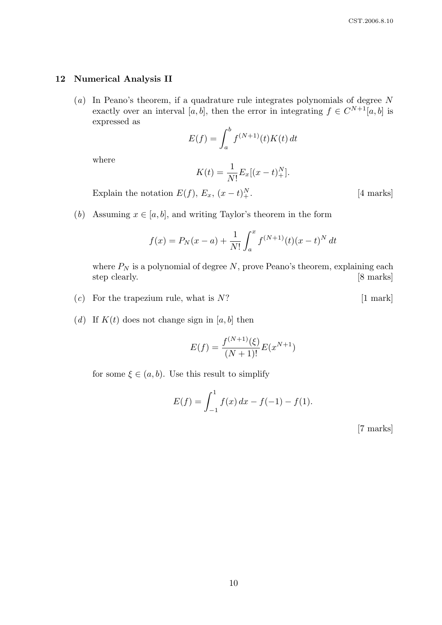#### 12 Numerical Analysis II

 $(a)$  In Peano's theorem, if a quadrature rule integrates polynomials of degree N exactly over an interval [a, b], then the error in integrating  $f \in C^{N+1}[a, b]$  is expressed as

$$
E(f) = \int_a^b f^{(N+1)}(t)K(t) dt
$$

where

$$
K(t) = \frac{1}{N!} E_x[(x - t)_+^N].
$$

Explain the notation  $E(f)$ ,  $E_x$ ,  $(x-t)_+^N$ 

- $[4$  marks]
- (b) Assuming  $x \in [a, b]$ , and writing Taylor's theorem in the form

$$
f(x) = P_N(x - a) + \frac{1}{N!} \int_a^x f^{(N+1)}(t) (x - t)^N dt
$$

where  $P_N$  is a polynomial of degree N, prove Peano's theorem, explaining each step clearly. [8 marks]

- (c) For the trapezium rule, what is  $N$ ? [1 mark]
- (d) If  $K(t)$  does not change sign in [a, b] then

$$
E(f) = \frac{f^{(N+1)}(\xi)}{(N+1)!} E(x^{N+1})
$$

for some  $\xi \in (a, b)$ . Use this result to simplify

$$
E(f) = \int_{-1}^{1} f(x) dx - f(-1) - f(1).
$$

[7 marks]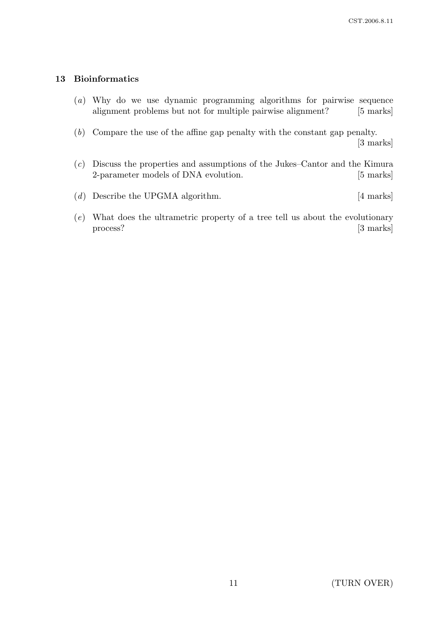# 13 Bioinformatics

- (a) Why do we use dynamic programming algorithms for pairwise sequence alignment problems but not for multiple pairwise alignment? [5 marks]
- (b) Compare the use of the affine gap penalty with the constant gap penalty. [3 marks]
- (c) Discuss the properties and assumptions of the Jukes–Cantor and the Kimura 2-parameter models of DNA evolution. [5 marks]
- (d) Describe the UPGMA algorithm. [4 marks]
- (e) What does the ultrametric property of a tree tell us about the evolutionary process? [3 marks]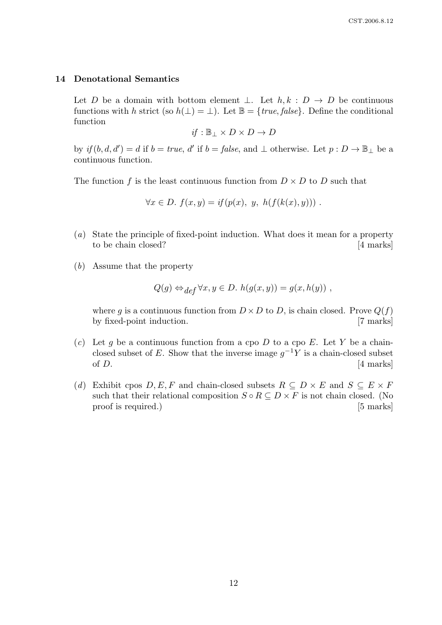#### 14 Denotational Semantics

Let D be a domain with bottom element  $\bot$ . Let  $h, k : D \to D$  be continuous functions with h strict (so  $h(\perp) = \perp$ ). Let  $\mathbb{B} = \{true, false\}$ . Define the conditional function

$$
if: \mathbb{B}_{\perp} \times D \times D \to D
$$

by  $if(b, d, d') = d$  if  $b = true, d'$  if  $b = false$ , and  $\perp$  otherwise. Let  $p : D \to \mathbb{B}_{\perp}$  be a continuous function.

The function f is the least continuous function from  $D \times D$  to D such that

$$
\forall x \in D. \ f(x, y) = if(p(x), y, h(f(k(x), y))).
$$

- (a) State the principle of fixed-point induction. What does it mean for a property to be chain closed? [4 marks]
- (b) Assume that the property

$$
Q(g) \Leftrightarrow_{def} \forall x, y \in D. h(g(x, y)) = g(x, h(y)),
$$

where g is a continuous function from  $D \times D$  to D, is chain closed. Prove  $Q(f)$ by fixed-point induction. [7 marks]

- (c) Let g be a continuous function from a cpo D to a cpo E. Let Y be a chainclosed subset of E. Show that the inverse image  $g^{-1}Y$  is a chain-closed subset of  $D$ .  $[4 \text{ marks}]$
- (d) Exhibit cpos  $D, E, F$  and chain-closed subsets  $R \subseteq D \times E$  and  $S \subseteq E \times F$ such that their relational composition  $S \circ R \subseteq D \times F$  is not chain closed. (No proof is required.) [5 marks]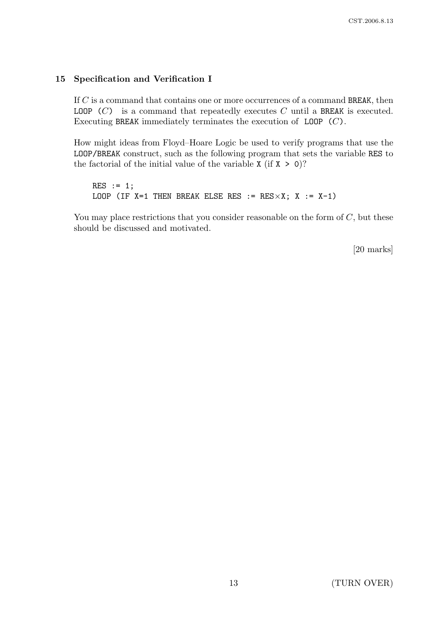# 15 Specification and Verification I

If C is a command that contains one or more occurrences of a command BREAK, then LOOP  $(C)$  is a command that repeatedly executes C until a BREAK is executed. Executing BREAK immediately terminates the execution of LOOP (C).

How might ideas from Floyd–Hoare Logic be used to verify programs that use the LOOP/BREAK construct, such as the following program that sets the variable RES to the factorial of the initial value of the variable  $X$  (if  $X > 0$ )?

```
RES := 1;LOOP (IF X=1 THEN BREAK ELSE RES := RES \times X; X := X-1)
```
You may place restrictions that you consider reasonable on the form of  $C$ , but these should be discussed and motivated.

[20 marks]